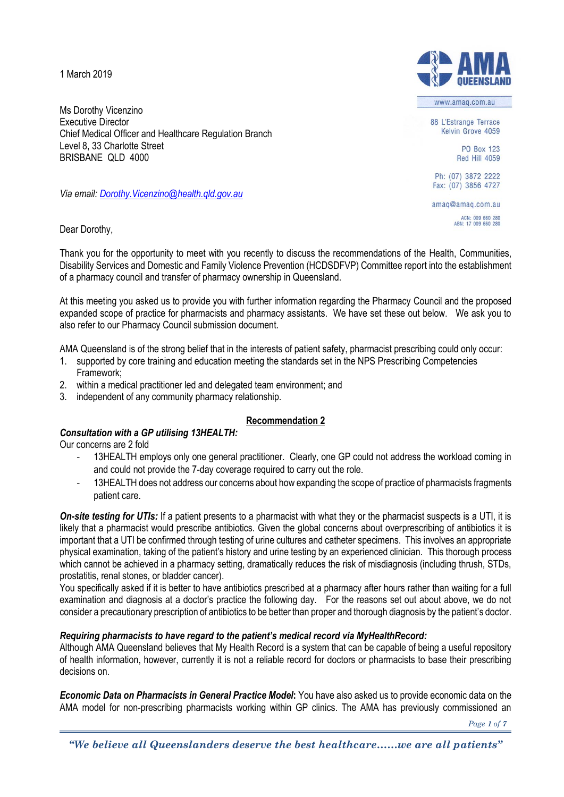1 March 2019

Ms Dorothy Vicenzino Executive Director Chief Medical Officer and Healthcare Regulation Branch Level 8, 33 Charlotte Street BRISBANE QLD 4000

*Via email: [Dorothy.Vicenzino@health.qld.gov.au](mailto:Dorothy.Vicenzino@health.qld.gov.au)*

Dear Dorothy,

Thank you for the opportunity to meet with you recently to discuss the recommendations of the Health, Communities, Disability Services and Domestic and Family Violence Prevention (HCDSDFVP) Committee report into the establishment of a pharmacy council and transfer of pharmacy ownership in Queensland.

At this meeting you asked us to provide you with further information regarding the Pharmacy Council and the proposed expanded scope of practice for pharmacists and pharmacy assistants. We have set these out below. We ask you to also refer to our Pharmacy Council submission document.

AMA Queensland is of the strong belief that in the interests of patient safety, pharmacist prescribing could only occur:

- 1. supported by core training and education meeting the standards set in the NPS Prescribing Competencies Framework;
- 2. within a medical practitioner led and delegated team environment; and
- 3. independent of any community pharmacy relationship.

# **Recommendation 2**

# *Consultation with a GP utilising 13HEALTH:*

Our concerns are 2 fold

- 13HEALTH employs only one general practitioner. Clearly, one GP could not address the workload coming in and could not provide the 7-day coverage required to carry out the role.
- 13HEALTH does not address our concerns about how expanding the scope of practice of pharmacists fragments patient care.

*On-site testing for UTIs:* If a patient presents to a pharmacist with what they or the pharmacist suspects is a UTI, it is likely that a pharmacist would prescribe antibiotics. Given the global concerns about overprescribing of antibiotics it is important that a UTI be confirmed through testing of urine cultures and catheter specimens. This involves an appropriate physical examination, taking of the patient's history and urine testing by an experienced clinician. This thorough process which cannot be achieved in a pharmacy setting, dramatically reduces the risk of misdiagnosis (including thrush, STDs, prostatitis, renal stones, or bladder cancer).

You specifically asked if it is better to have antibiotics prescribed at a pharmacy after hours rather than waiting for a full examination and diagnosis at a doctor's practice the following day. For the reasons set out about above, we do not consider a precautionary prescription of antibiotics to be better than proper and thorough diagnosis by the patient's doctor.

### *Requiring pharmacists to have regard to the patient's medical record via MyHealthRecord:*

Although AMA Queensland believes that My Health Record is a system that can be capable of being a useful repository of health information, however, currently it is not a reliable record for doctors or pharmacists to base their prescribing decisions on.

*Economic Data on Pharmacists in General Practice Model***:** You have also asked us to provide economic data on the AMA model for non-prescribing pharmacists working within GP clinics. The AMA has previously commissioned an



www.amaq.com.au

88 L'Estrange Terrace Kelvin Grove 4059

> **PO Box 123 Red Hill 4059**

Ph: (07) 3872 2222 Fax: (07) 3856 4727

amaq@amaq.com.au ACN: 009 660 280<br>ABN: 17 009 660 280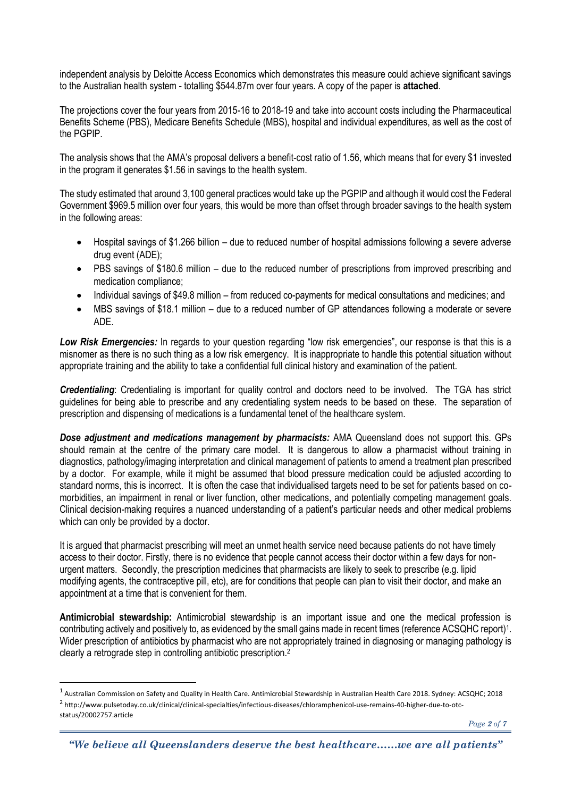independent analysis by Deloitte Access Economics which demonstrates this measure could achieve significant savings to the Australian health system - totalling \$544.87m over four years. A copy of the paper is **attached**.

The projections cover the four years from 2015-16 to 2018-19 and take into account costs including the Pharmaceutical Benefits Scheme (PBS), Medicare Benefits Schedule (MBS), hospital and individual expenditures, as well as the cost of the PGPIP.

The analysis shows that the AMA's proposal delivers a benefit-cost ratio of 1.56, which means that for every \$1 invested in the program it generates \$1.56 in savings to the health system.

The study estimated that around 3,100 general practices would take up the PGPIP and although it would cost the Federal Government \$969.5 million over four years, this would be more than offset through broader savings to the health system in the following areas:

- Hospital savings of \$1.266 billion due to reduced number of hospital admissions following a severe adverse drug event (ADE);
- PBS savings of \$180.6 million due to the reduced number of prescriptions from improved prescribing and medication compliance;
- Individual savings of \$49.8 million from reduced co-payments for medical consultations and medicines; and
- MBS savings of \$18.1 million due to a reduced number of GP attendances following a moderate or severe ADE.

*Low Risk Emergencies:* In regards to your question regarding "low risk emergencies", our response is that this is a misnomer as there is no such thing as a low risk emergency. It is inappropriate to handle this potential situation without appropriate training and the ability to take a confidential full clinical history and examination of the patient.

*Credentialing*: Credentialing is important for quality control and doctors need to be involved. The TGA has strict guidelines for being able to prescribe and any credentialing system needs to be based on these. The separation of prescription and dispensing of medications is a fundamental tenet of the healthcare system.

*Dose adjustment and medications management by pharmacists:* AMA Queensland does not support this. GPs should remain at the centre of the primary care model. It is dangerous to allow a pharmacist without training in diagnostics, pathology/imaging interpretation and clinical management of patients to amend a treatment plan prescribed by a doctor. For example, while it might be assumed that blood pressure medication could be adjusted according to standard norms, this is incorrect. It is often the case that individualised targets need to be set for patients based on comorbidities, an impairment in renal or liver function, other medications, and potentially competing management goals. Clinical decision-making requires a nuanced understanding of a patient's particular needs and other medical problems which can only be provided by a doctor.

It is argued that pharmacist prescribing will meet an unmet health service need because patients do not have timely access to their doctor. Firstly, there is no evidence that people cannot access their doctor within a few days for nonurgent matters. Secondly, the prescription medicines that pharmacists are likely to seek to prescribe (e.g. lipid modifying agents, the contraceptive pill, etc), are for conditions that people can plan to visit their doctor, and make an appointment at a time that is convenient for them.

**Antimicrobial stewardship:** Antimicrobial stewardship is an important issue and one the medical profession is contributing actively and positively to, as evidenced by the small gains made in recent times (reference ACSQHC report)<sup>1</sup> . Wider prescription of antibiotics by pharmacist who are not appropriately trained in diagnosing or managing pathology is clearly a retrograde step in controlling antibiotic prescription.<sup>2</sup>

 $\overline{a}$ 

<sup>&</sup>lt;sup>1</sup> Australian Commission on Safety and Quality in Health Care. Antimicrobial Stewardship in Australian Health Care 2018. Sydney: ACSQHC; 2018 2 http://www.pulsetoday.co.uk/clinical/clinical-specialties/infectious-diseases/chloramphenicol-use-remains-40-higher-due-to-otcstatus/20002757.article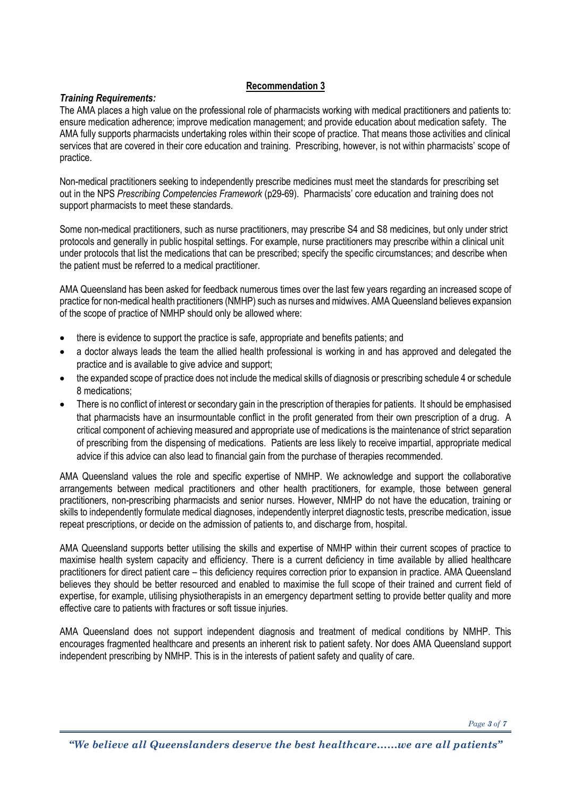# **Recommendation 3**

### *Training Requirements:*

The AMA places a high value on the professional role of pharmacists working with medical practitioners and patients to: ensure medication adherence; improve medication management; and provide education about medication safety. The AMA fully supports pharmacists undertaking roles within their scope of practice. That means those activities and clinical services that are covered in their core education and training. Prescribing, however, is not within pharmacists' scope of practice.

Non-medical practitioners seeking to independently prescribe medicines must meet the standards for prescribing set out in the NPS *Prescribing Competencies Framework* (p29-69). Pharmacists' core education and training does not support pharmacists to meet these standards.

Some non-medical practitioners, such as nurse practitioners, may prescribe S4 and S8 medicines, but only under strict protocols and generally in public hospital settings. For example, nurse practitioners may prescribe within a clinical unit under protocols that list the medications that can be prescribed; specify the specific circumstances; and describe when the patient must be referred to a medical practitioner.

AMA Queensland has been asked for feedback numerous times over the last few years regarding an increased scope of practice for non-medical health practitioners (NMHP) such as nurses and midwives. AMA Queensland believes expansion of the scope of practice of NMHP should only be allowed where:

- there is evidence to support the practice is safe, appropriate and benefits patients; and
- a doctor always leads the team the allied health professional is working in and has approved and delegated the practice and is available to give advice and support;
- the expanded scope of practice does not include the medical skills of diagnosis or prescribing schedule 4 or schedule 8 medications;
- There is no conflict of interest or secondary gain in the prescription of therapies for patients. It should be emphasised that pharmacists have an insurmountable conflict in the profit generated from their own prescription of a drug. A critical component of achieving measured and appropriate use of medications is the maintenance of strict separation of prescribing from the dispensing of medications. Patients are less likely to receive impartial, appropriate medical advice if this advice can also lead to financial gain from the purchase of therapies recommended.

AMA Queensland values the role and specific expertise of NMHP. We acknowledge and support the collaborative arrangements between medical practitioners and other health practitioners, for example, those between general practitioners, non-prescribing pharmacists and senior nurses. However, NMHP do not have the education, training or skills to independently formulate medical diagnoses, independently interpret diagnostic tests, prescribe medication, issue repeat prescriptions, or decide on the admission of patients to, and discharge from, hospital.

AMA Queensland supports better utilising the skills and expertise of NMHP within their current scopes of practice to maximise health system capacity and efficiency. There is a current deficiency in time available by allied healthcare practitioners for direct patient care – this deficiency requires correction prior to expansion in practice. AMA Queensland believes they should be better resourced and enabled to maximise the full scope of their trained and current field of expertise, for example, utilising physiotherapists in an emergency department setting to provide better quality and more effective care to patients with fractures or soft tissue injuries.

AMA Queensland does not support independent diagnosis and treatment of medical conditions by NMHP. This encourages fragmented healthcare and presents an inherent risk to patient safety. Nor does AMA Queensland support independent prescribing by NMHP. This is in the interests of patient safety and quality of care.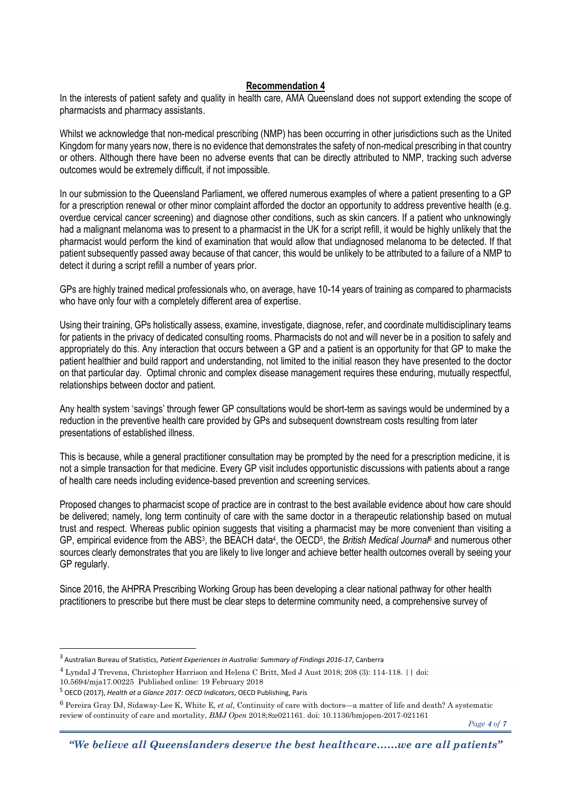### **Recommendation 4**

In the interests of patient safety and quality in health care, AMA Queensland does not support extending the scope of pharmacists and pharmacy assistants.

Whilst we acknowledge that non-medical prescribing (NMP) has been occurring in other jurisdictions such as the United Kingdom for many years now, there is no evidence that demonstrates the safety of non-medical prescribing in that country or others. Although there have been no adverse events that can be directly attributed to NMP, tracking such adverse outcomes would be extremely difficult, if not impossible.

In our submission to the Queensland Parliament, we offered numerous examples of where a patient presenting to a GP for a prescription renewal or other minor complaint afforded the doctor an opportunity to address preventive health (e.g. overdue cervical cancer screening) and diagnose other conditions, such as skin cancers. If a patient who unknowingly had a malignant melanoma was to present to a pharmacist in the UK for a script refill, it would be highly unlikely that the pharmacist would perform the kind of examination that would allow that undiagnosed melanoma to be detected. If that patient subsequently passed away because of that cancer, this would be unlikely to be attributed to a failure of a NMP to detect it during a script refill a number of years prior.

GPs are highly trained medical professionals who, on average, have 10-14 years of training as compared to pharmacists who have only four with a completely different area of expertise.

Using their training, GPs holistically assess, examine, investigate, diagnose, refer, and coordinate multidisciplinary teams for patients in the privacy of dedicated consulting rooms. Pharmacists do not and will never be in a position to safely and appropriately do this. Any interaction that occurs between a GP and a patient is an opportunity for that GP to make the patient healthier and build rapport and understanding, not limited to the initial reason they have presented to the doctor on that particular day. Optimal chronic and complex disease management requires these enduring, mutually respectful, relationships between doctor and patient.

Any health system 'savings' through fewer GP consultations would be short-term as savings would be undermined by a reduction in the preventive health care provided by GPs and subsequent downstream costs resulting from later presentations of established illness.

This is because, while a general practitioner consultation may be prompted by the need for a prescription medicine, it is not a simple transaction for that medicine. Every GP visit includes opportunistic discussions with patients about a range of health care needs including evidence-based prevention and screening services.

Proposed changes to pharmacist scope of practice are in contrast to the best available evidence about how care should be delivered; namely, long term continuity of care with the same doctor in a therapeutic relationship based on mutual trust and respect. Whereas public opinion suggests that visiting a pharmacist may be more convenient than visiting a GP, empirical evidence from the ABS<sup>3</sup>, the BEACH data<sup>4</sup>, the OECD<sup>5</sup>, the British Medical Journal<sup>6</sup> and numerous other sources clearly demonstrates that you are likely to live longer and achieve better health outcomes overall by seeing your GP regularly.

Since 2016, the AHPRA Prescribing Working Group has been developing a clear national pathway for other health practitioners to prescribe but there must be clear steps to determine community need, a comprehensive survey of

 $\overline{a}$ 

<sup>3</sup> Australian Bureau of Statistics, *Patient Experiences in Australia: Summary of Findings 2016-17*, Canberra

<sup>4</sup> Lyndal J Trevena, Christopher Harrison and Helena C Britt, Med J Aust 2018; 208 (3): 114-118. || doi:

<sup>10.5694/</sup>mja17.00225 Published online: 19 February 2018

<sup>5</sup> OECD (2017), *Health at a Glance 2017: OECD Indicators*, OECD Publishing, Paris

<sup>6</sup> Pereira Gray DJ, Sidaway-Lee K, White E*, et al*, Continuity of care with doctors—a matter of life and death? A systematic review of continuity of care and mortality, *BMJ Open* 2018;8**:**e021161. doi: 10.1136/bmjopen-2017-021161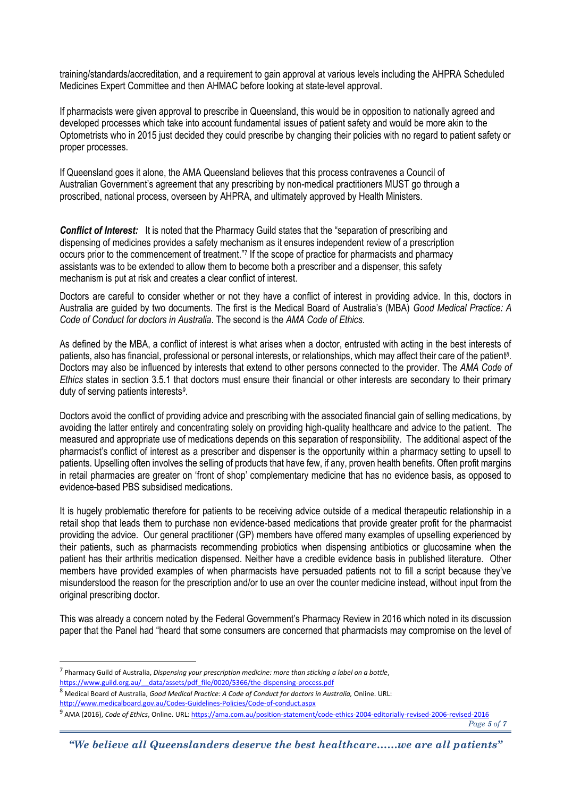training/standards/accreditation, and a requirement to gain approval at various levels including the AHPRA Scheduled Medicines Expert Committee and then AHMAC before looking at state-level approval.

If pharmacists were given approval to prescribe in Queensland, this would be in opposition to nationally agreed and developed processes which take into account fundamental issues of patient safety and would be more akin to the Optometrists who in 2015 just decided they could prescribe by changing their policies with no regard to patient safety or proper processes.

If Queensland goes it alone, the AMA Queensland believes that this process contravenes a Council of Australian Government's agreement that any prescribing by non-medical practitioners MUST go through a proscribed, national process, overseen by AHPRA, and ultimately approved by Health Ministers.

*Conflict of Interest:* It is noted that the Pharmacy Guild states that the "separation of prescribing and dispensing of medicines provides a safety mechanism as it ensures independent review of a prescription occurs prior to the commencement of treatment."7 If the scope of practice for pharmacists and pharmacy assistants was to be extended to allow them to become both a prescriber and a dispenser, this safety mechanism is put at risk and creates a clear conflict of interest.

Doctors are careful to consider whether or not they have a conflict of interest in providing advice. In this, doctors in Australia are guided by two documents. The first is the Medical Board of Australia's (MBA) *Good Medical Practice: A Code of Conduct for doctors in Australia*. The second is the *AMA Code of Ethics*.

As defined by the MBA, a conflict of interest is what arises when a doctor, entrusted with acting in the best interests of patients, also has financial, professional or personal interests, or relationships, which may affect their care of the patient *8* . Doctors may also be influenced by interests that extend to other persons connected to the provider. The *AMA Code of Ethics* states in section 3.5.1 that doctors must ensure their financial or other interests are secondary to their primary duty of serving patients interests*<sup>9</sup>* .

Doctors avoid the conflict of providing advice and prescribing with the associated financial gain of selling medications, by avoiding the latter entirely and concentrating solely on providing high-quality healthcare and advice to the patient. The measured and appropriate use of medications depends on this separation of responsibility. The additional aspect of the pharmacist's conflict of interest as a prescriber and dispenser is the opportunity within a pharmacy setting to upsell to patients. Upselling often involves the selling of products that have few, if any, proven health benefits. Often profit margins in retail pharmacies are greater on 'front of shop' complementary medicine that has no evidence basis, as opposed to evidence-based PBS subsidised medications.

It is hugely problematic therefore for patients to be receiving advice outside of a medical therapeutic relationship in a retail shop that leads them to purchase non evidence-based medications that provide greater profit for the pharmacist providing the advice. Our general practitioner (GP) members have offered many examples of upselling experienced by their patients, such as pharmacists recommending probiotics when dispensing antibiotics or glucosamine when the patient has their arthritis medication dispensed. Neither have a credible evidence basis in published literature. Other members have provided examples of when pharmacists have persuaded patients not to fill a script because they've misunderstood the reason for the prescription and/or to use an over the counter medicine instead, without input from the original prescribing doctor.

This was already a concern noted by the Federal Government's Pharmacy Review in 2016 which noted in its discussion paper that the Panel had "heard that some consumers are concerned that pharmacists may compromise on the level of

 $\overline{a}$ 

<sup>7</sup> Pharmacy Guild of Australia, *Dispensing your prescription medicine: more than sticking a label on a bottle*, [https://www.guild.org.au/\\_\\_data/assets/pdf\\_file/0020/5366/the-dispensing-process.pdf](https://www.guild.org.au/__data/assets/pdf_file/0020/5366/the-dispensing-process.pdf)

<sup>8</sup> Medical Board of Australia, *Good Medical Practice: A Code of Conduct for doctors in Australia,* Online. URL:

<http://www.medicalboard.gov.au/Codes-Guidelines-Policies/Code-of-conduct.aspx>

<sup>9</sup> AMA (2016), *Code of Ethics*, Online. URL[: https://ama.com.au/position-statement/code-ethics-2004-editorially-revised-2006-revised-2016](https://ama.com.au/position-statement/code-ethics-2004-editorially-revised-2006-revised-2016)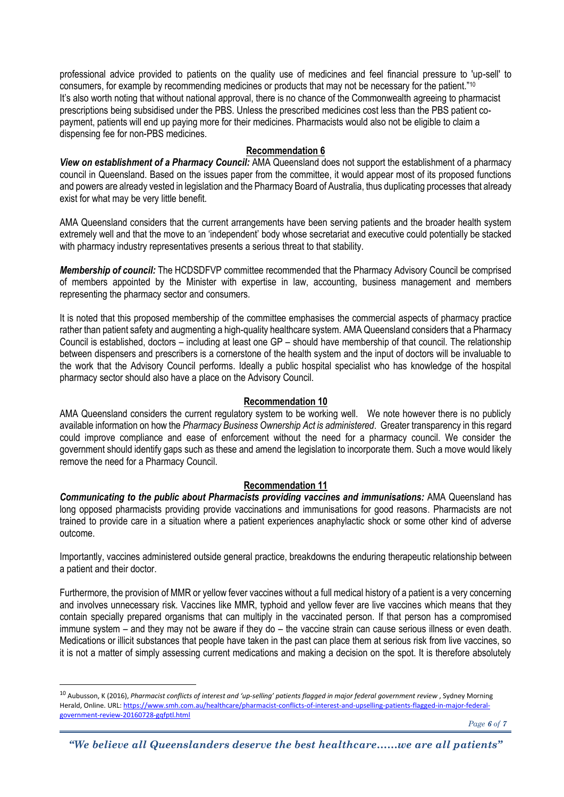professional advice provided to patients on the quality use of medicines and feel financial pressure to 'up-sell' to consumers, for example by recommending medicines or products that may not be necessary for the patient."<sup>10</sup> It's also worth noting that without national approval, there is no chance of the Commonwealth agreeing to pharmacist prescriptions being subsidised under the PBS. Unless the prescribed medicines cost less than the PBS patient copayment, patients will end up paying more for their medicines. Pharmacists would also not be eligible to claim a dispensing fee for non-PBS medicines.

### **Recommendation 6**

*View on establishment of a Pharmacy Council:* AMA Queensland does not support the establishment of a pharmacy council in Queensland. Based on the issues paper from the committee, it would appear most of its proposed functions and powers are already vested in legislation and the Pharmacy Board of Australia, thus duplicating processes that already exist for what may be very little benefit.

AMA Queensland considers that the current arrangements have been serving patients and the broader health system extremely well and that the move to an 'independent' body whose secretariat and executive could potentially be stacked with pharmacy industry representatives presents a serious threat to that stability.

*Membership of council:* The HCDSDFVP committee recommended that the Pharmacy Advisory Council be comprised of members appointed by the Minister with expertise in law, accounting, business management and members representing the pharmacy sector and consumers.

It is noted that this proposed membership of the committee emphasises the commercial aspects of pharmacy practice rather than patient safety and augmenting a high-quality healthcare system. AMA Queensland considers that a Pharmacy Council is established, doctors – including at least one GP – should have membership of that council. The relationship between dispensers and prescribers is a cornerstone of the health system and the input of doctors will be invaluable to the work that the Advisory Council performs. Ideally a public hospital specialist who has knowledge of the hospital pharmacy sector should also have a place on the Advisory Council.

### **Recommendation 10**

AMA Queensland considers the current regulatory system to be working well. We note however there is no publicly available information on how the *Pharmacy Business Ownership Act is administered*. Greater transparency in this regard could improve compliance and ease of enforcement without the need for a pharmacy council. We consider the government should identify gaps such as these and amend the legislation to incorporate them. Such a move would likely remove the need for a Pharmacy Council.

# **Recommendation 11**

*Communicating to the public about Pharmacists providing vaccines and immunisations:* AMA Queensland has long opposed pharmacists providing provide vaccinations and immunisations for good reasons. Pharmacists are not trained to provide care in a situation where a patient experiences anaphylactic shock or some other kind of adverse outcome.

Importantly, vaccines administered outside general practice, breakdowns the enduring therapeutic relationship between a patient and their doctor.

Furthermore, the provision of MMR or yellow fever vaccines without a full medical history of a patient is a very concerning and involves unnecessary risk. Vaccines like MMR, typhoid and yellow fever are live vaccines which means that they contain specially prepared organisms that can multiply in the vaccinated person. If that person has a compromised immune system – and they may not be aware if they do – the vaccine strain can cause serious illness or even death. Medications or illicit substances that people have taken in the past can place them at serious risk from live vaccines, so it is not a matter of simply assessing current medications and making a decision on the spot. It is therefore absolutely

 $\overline{a}$ 

*"We believe all Queenslanders deserve the best healthcare……we are all patients"*

<sup>10</sup> Aubusson, K (2016), *Pharmacist conflicts of interest and 'up-selling' patients flagged in major federal government review* , Sydney Morning Herald, Online. URL[: https://www.smh.com.au/healthcare/pharmacist-conflicts-of-interest-and-upselling-patients-flagged-in-major-federal](https://www.smh.com.au/healthcare/pharmacist-conflicts-of-interest-and-upselling-patients-flagged-in-major-federal-government-review-20160728-gqfptl.html)[government-review-20160728-gqfptl.html](https://www.smh.com.au/healthcare/pharmacist-conflicts-of-interest-and-upselling-patients-flagged-in-major-federal-government-review-20160728-gqfptl.html)